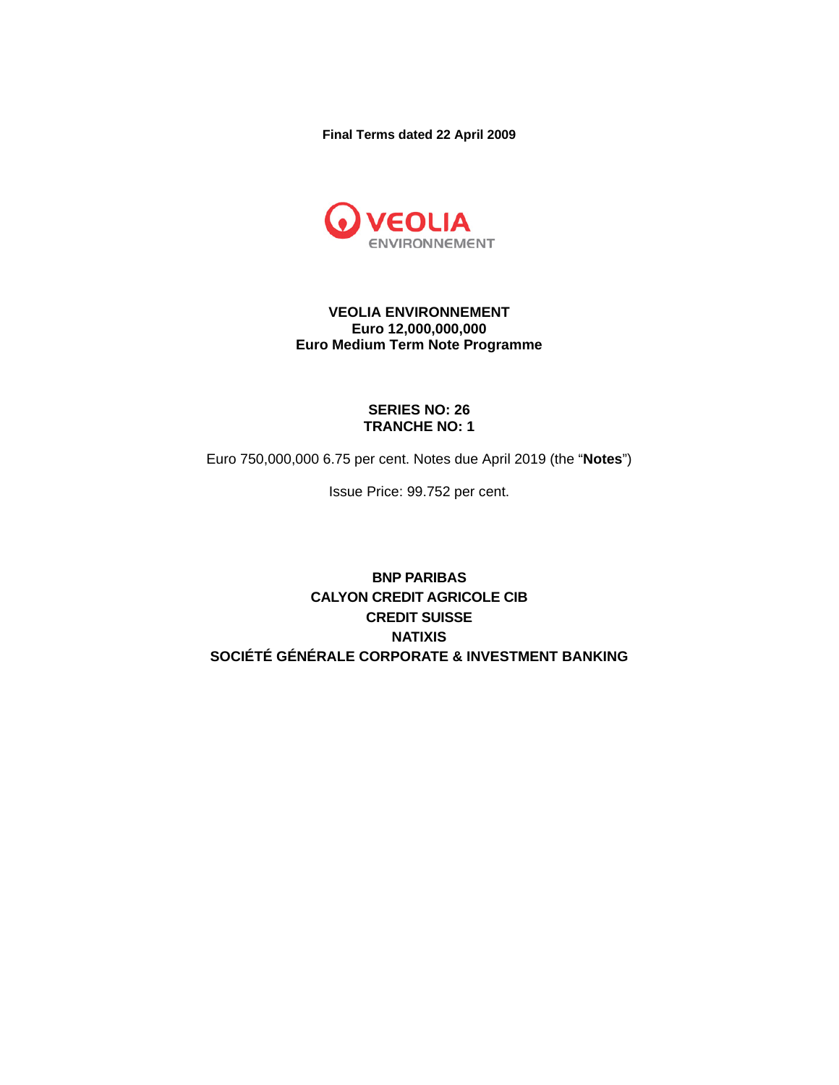**Final Terms dated 22 April 2009** 



## **VEOLIA ENVIRONNEMENT Euro 12,000,000,000 Euro Medium Term Note Programme**

## **SERIES NO: 26 TRANCHE NO: 1**

Euro 750,000,000 6.75 per cent. Notes due April 2019 (the "**Notes**")

Issue Price: 99.752 per cent.

**BNP PARIBAS CALYON CREDIT AGRICOLE CIB CREDIT SUISSE NATIXIS SOCIÉTÉ GÉNÉRALE CORPORATE & INVESTMENT BANKING**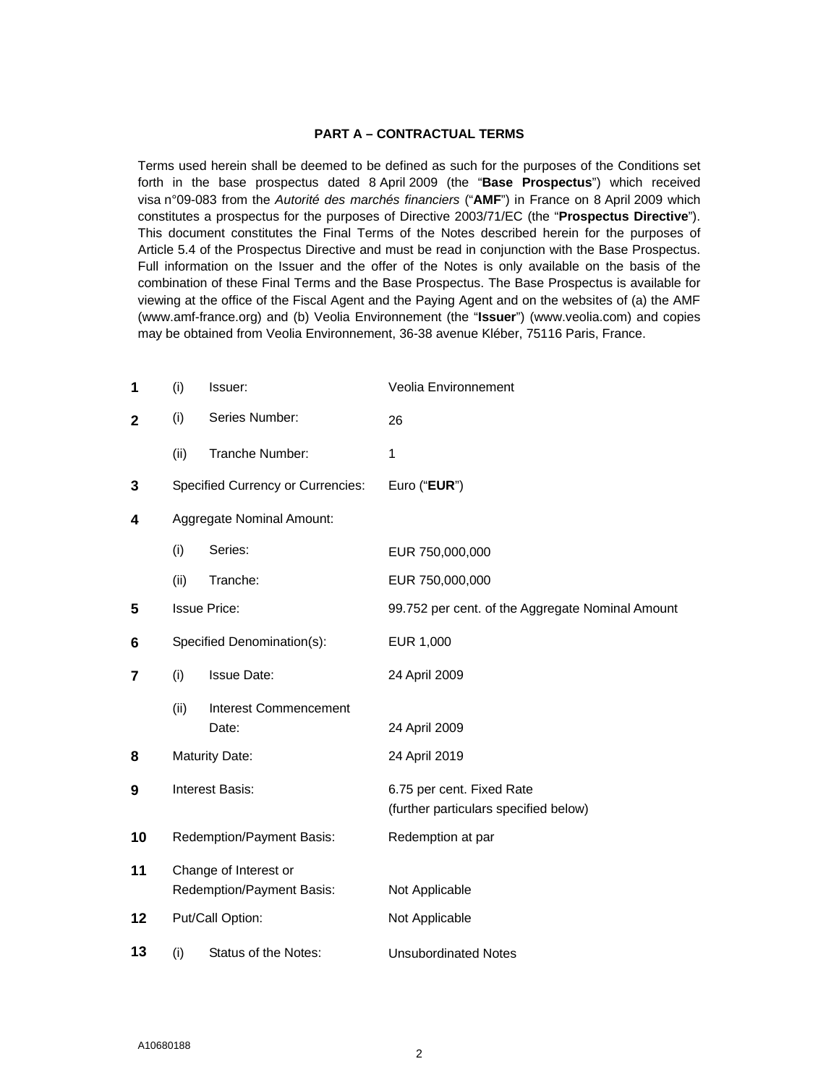#### **PART A – CONTRACTUAL TERMS**

Terms used herein shall be deemed to be defined as such for the purposes of the Conditions set forth in the base prospectus dated 8 April 2009 (the "**Base Prospectus**") which received visa n°09-083 from the *Autorité des marchés financiers* ("**AMF**") in France on 8 April 2009 which constitutes a prospectus for the purposes of Directive 2003/71/EC (the "**Prospectus Directive**"). This document constitutes the Final Terms of the Notes described herein for the purposes of Article 5.4 of the Prospectus Directive and must be read in conjunction with the Base Prospectus. Full information on the Issuer and the offer of the Notes is only available on the basis of the combination of these Final Terms and the Base Prospectus. The Base Prospectus is available for viewing at the office of the Fiscal Agent and the Paying Agent and on the websites of (a) the AMF (www.amf-france.org) and (b) Veolia Environnement (the "**Issuer**") (www.veolia.com) and copies may be obtained from Veolia Environnement, 36-38 avenue Kléber, 75116 Paris, France.

| 1            | (i)                                                | Issuer:                                  | Veolia Environnement                             |
|--------------|----------------------------------------------------|------------------------------------------|--------------------------------------------------|
| $\mathbf{2}$ | (i)                                                | Series Number:                           | 26                                               |
|              | (ii)                                               | Tranche Number:                          | 1                                                |
| 3            |                                                    | <b>Specified Currency or Currencies:</b> | Euro ("EUR")                                     |
| 4            |                                                    | Aggregate Nominal Amount:                |                                                  |
|              | (i)                                                | Series:                                  | EUR 750,000,000                                  |
|              | (ii)                                               | Tranche:                                 | EUR 750,000,000                                  |
| 5            |                                                    | <b>Issue Price:</b>                      | 99.752 per cent. of the Aggregate Nominal Amount |
| 6            |                                                    | Specified Denomination(s):               | EUR 1,000                                        |
| 7            | (i)                                                | <b>Issue Date:</b>                       | 24 April 2009                                    |
|              | (ii)                                               | <b>Interest Commencement</b>             |                                                  |
|              |                                                    | Date:                                    | 24 April 2009                                    |
| 8            |                                                    | <b>Maturity Date:</b>                    | 24 April 2019                                    |
| 9            | Interest Basis:                                    |                                          | 6.75 per cent. Fixed Rate                        |
|              |                                                    |                                          | (further particulars specified below)            |
| 10           |                                                    | Redemption/Payment Basis:                | Redemption at par                                |
| 11           | Change of Interest or<br>Redemption/Payment Basis: |                                          | Not Applicable                                   |
| 12           |                                                    | Put/Call Option:                         | Not Applicable                                   |
| 13           | (i)                                                | Status of the Notes:                     | <b>Unsubordinated Notes</b>                      |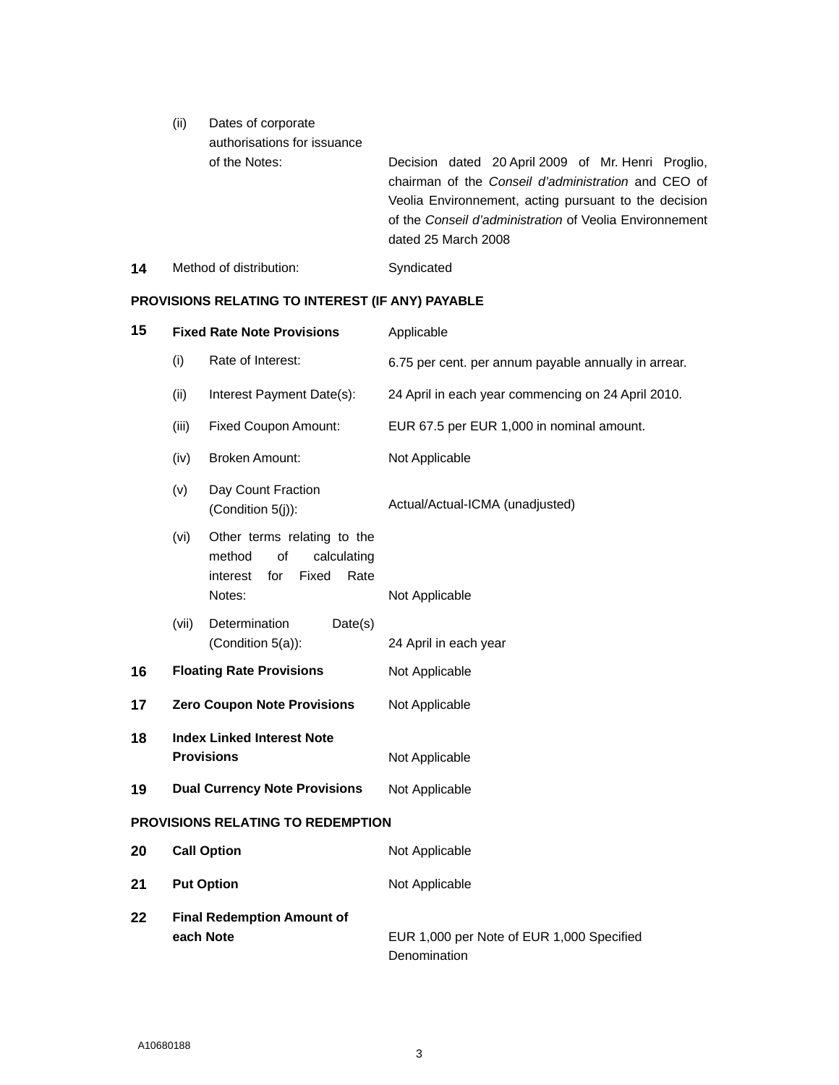| (ii) | Dates of corporate<br>authorisations for issuance |                                                                                                                                                                                                                               |
|------|---------------------------------------------------|-------------------------------------------------------------------------------------------------------------------------------------------------------------------------------------------------------------------------------|
|      | of the Notes:                                     | Decision dated 20 April 2009 of Mr. Henri Proglio,<br>chairman of the Conseil d'administration and CEO of<br>Veolia Environnement, acting pursuant to the decision<br>of the Conseil d'administration of Veolia Environnement |
|      |                                                   | dated 25 March 2008                                                                                                                                                                                                           |

14 Method of distribution: Syndicated

# **PROVISIONS RELATING TO INTEREST (IF ANY) PAYABLE**

| 15                                       |                                                        | <b>Fixed Rate Note Provisions</b>                                                                        | Applicable                                           |  |
|------------------------------------------|--------------------------------------------------------|----------------------------------------------------------------------------------------------------------|------------------------------------------------------|--|
|                                          | (i)                                                    | Rate of Interest:                                                                                        | 6.75 per cent. per annum payable annually in arrear. |  |
|                                          | (ii)                                                   | Interest Payment Date(s):                                                                                | 24 April in each year commencing on 24 April 2010.   |  |
|                                          | (iii)                                                  | <b>Fixed Coupon Amount:</b>                                                                              | EUR 67.5 per EUR 1,000 in nominal amount.            |  |
|                                          | (iv)                                                   | <b>Broken Amount:</b>                                                                                    | Not Applicable                                       |  |
|                                          | (v)                                                    | Day Count Fraction<br>(Condition 5(j)):                                                                  | Actual/Actual-ICMA (unadjusted)                      |  |
|                                          | (vi)                                                   | Other terms relating to the<br>method<br>of<br>calculating<br>Fixed<br>Rate<br>interest<br>for<br>Notes: | Not Applicable                                       |  |
|                                          | (vii)                                                  | Determination<br>Date(s)<br>(Condition 5(a)):                                                            | 24 April in each year                                |  |
| 16                                       |                                                        | <b>Floating Rate Provisions</b>                                                                          | Not Applicable                                       |  |
| 17                                       |                                                        | <b>Zero Coupon Note Provisions</b>                                                                       | Not Applicable                                       |  |
| 18                                       | <b>Index Linked Interest Note</b><br><b>Provisions</b> |                                                                                                          | Not Applicable                                       |  |
| 19                                       | <b>Dual Currency Note Provisions</b>                   |                                                                                                          | Not Applicable                                       |  |
| <b>PROVISIONS RELATING TO REDEMPTION</b> |                                                        |                                                                                                          |                                                      |  |
| 20                                       | <b>Call Option</b>                                     |                                                                                                          | Not Applicable                                       |  |
| 21                                       | <b>Put Option</b>                                      |                                                                                                          | Not Applicable                                       |  |
| 22                                       | each Note                                              | <b>Final Redemption Amount of</b>                                                                        | EUR 1,000 per Note of EUR 1,000 Specified            |  |
|                                          |                                                        |                                                                                                          | Denomination                                         |  |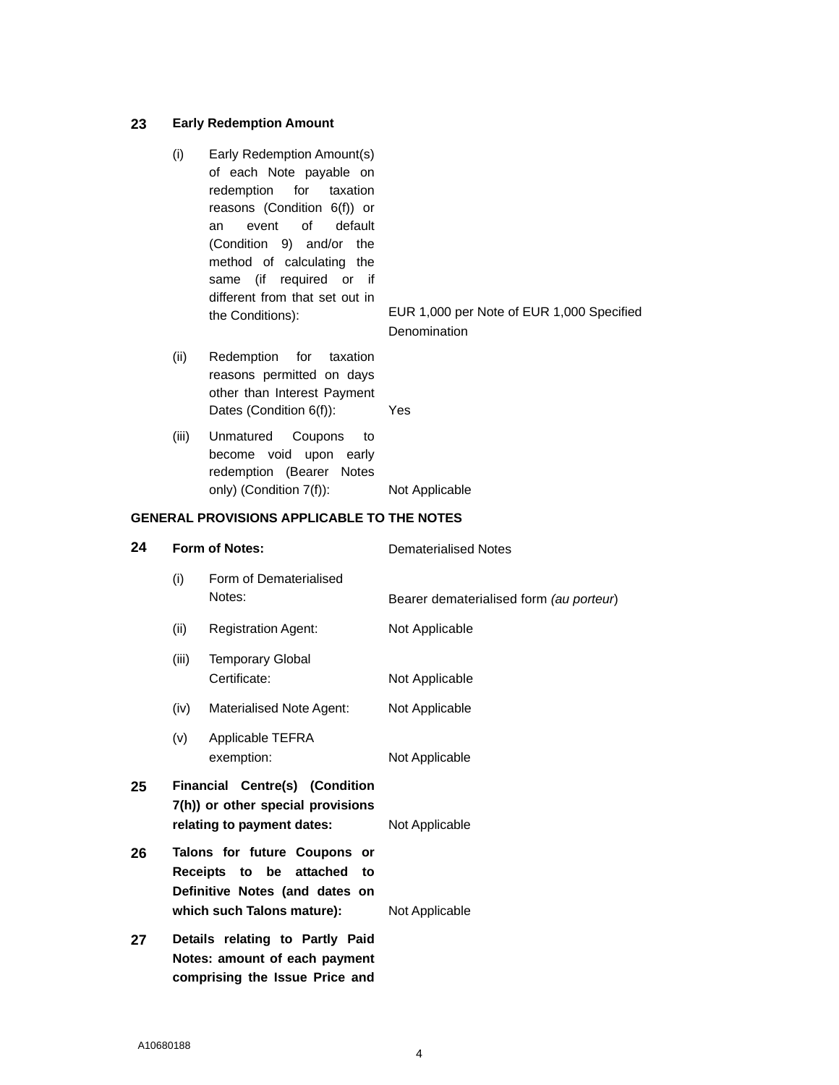#### **23 Early Redemption Amount**

(i) Early Redemption Amount(s) of each Note payable on redemption for taxation reasons (Condition 6(f)) or an event of default (Condition 9) and/or the method of calculating the same (if required or if different from that set out in

the Conditions): EUR 1,000 per Note of EUR 1,000 Specified **Denomination** 

- (ii) Redemption for taxation reasons permitted on days other than Interest Payment Dates (Condition 6(f)): Yes
- (iii) Unmatured Coupons to become void upon early redemption (Bearer Notes only) (Condition 7(f)): Not Applicable

#### **GENERAL PROVISIONS APPLICABLE TO THE NOTES**

**comprising the Issue Price and** 

| 24<br><b>Form of Notes:</b> |       |                                                                                                                               | <b>Dematerialised Notes</b>             |  |
|-----------------------------|-------|-------------------------------------------------------------------------------------------------------------------------------|-----------------------------------------|--|
|                             | (i)   | Form of Dematerialised<br>Notes:                                                                                              | Bearer dematerialised form (au porteur) |  |
|                             | (ii)  | <b>Registration Agent:</b>                                                                                                    | Not Applicable                          |  |
|                             | (iii) | <b>Temporary Global</b><br>Certificate:                                                                                       | Not Applicable                          |  |
|                             | (iv)  | Materialised Note Agent:                                                                                                      | Not Applicable                          |  |
|                             | (v)   | Applicable TEFRA<br>exemption:                                                                                                | Not Applicable                          |  |
| 25                          |       | <b>Financial Centre(s) (Condition</b><br>7(h)) or other special provisions<br>relating to payment dates:                      | Not Applicable                          |  |
| 26                          |       | Talons for future Coupons or<br>Receipts to be attached<br>to<br>Definitive Notes (and dates on<br>which such Talons mature): | Not Applicable                          |  |
| 27                          |       | Details relating to Partly Paid<br>Notes: amount of each payment                                                              |                                         |  |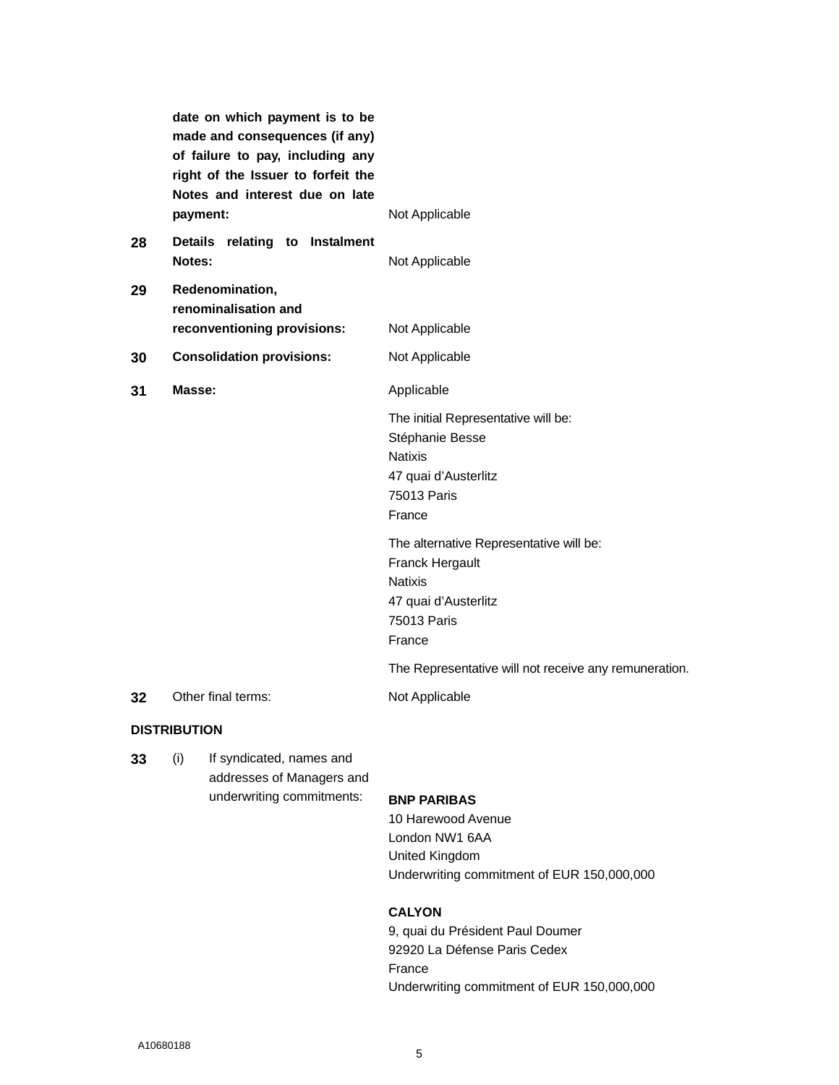|    | date on which payment is to be<br>made and consequences (if any)<br>of failure to pay, including any<br>right of the Issuer to forfeit the<br>Notes and interest due on late |                                                                                                                               |
|----|------------------------------------------------------------------------------------------------------------------------------------------------------------------------------|-------------------------------------------------------------------------------------------------------------------------------|
|    | payment:                                                                                                                                                                     | Not Applicable                                                                                                                |
| 28 | Details relating to Instalment<br>Notes:                                                                                                                                     | Not Applicable                                                                                                                |
| 29 | Redenomination,<br>renominalisation and                                                                                                                                      |                                                                                                                               |
|    | reconventioning provisions:                                                                                                                                                  | Not Applicable                                                                                                                |
| 30 | <b>Consolidation provisions:</b>                                                                                                                                             | Not Applicable                                                                                                                |
| 31 | Masse:                                                                                                                                                                       | Applicable                                                                                                                    |
|    |                                                                                                                                                                              | The initial Representative will be:<br>Stéphanie Besse<br><b>Natixis</b><br>47 quai d'Austerlitz<br>75013 Paris<br>France     |
|    |                                                                                                                                                                              | The alternative Representative will be:<br>Franck Hergault<br><b>Natixis</b><br>47 quai d'Austerlitz<br>75013 Paris<br>France |
|    |                                                                                                                                                                              | The Representative will not receive any remuneration.                                                                         |
| 32 | Other final terms:                                                                                                                                                           | Not Applicable                                                                                                                |
|    |                                                                                                                                                                              |                                                                                                                               |

### **DISTRIBUTION**

**33** (i) If syndicated, names and addresses of Managers and underwriting commitments: **BNP PARIBAS** 

10 Harewood Avenue London NW1 6AA United Kingdom Underwriting commitment of EUR 150,000,000

## **CALYON**

9, quai du Président Paul Doumer 92920 La Défense Paris Cedex France Underwriting commitment of EUR 150,000,000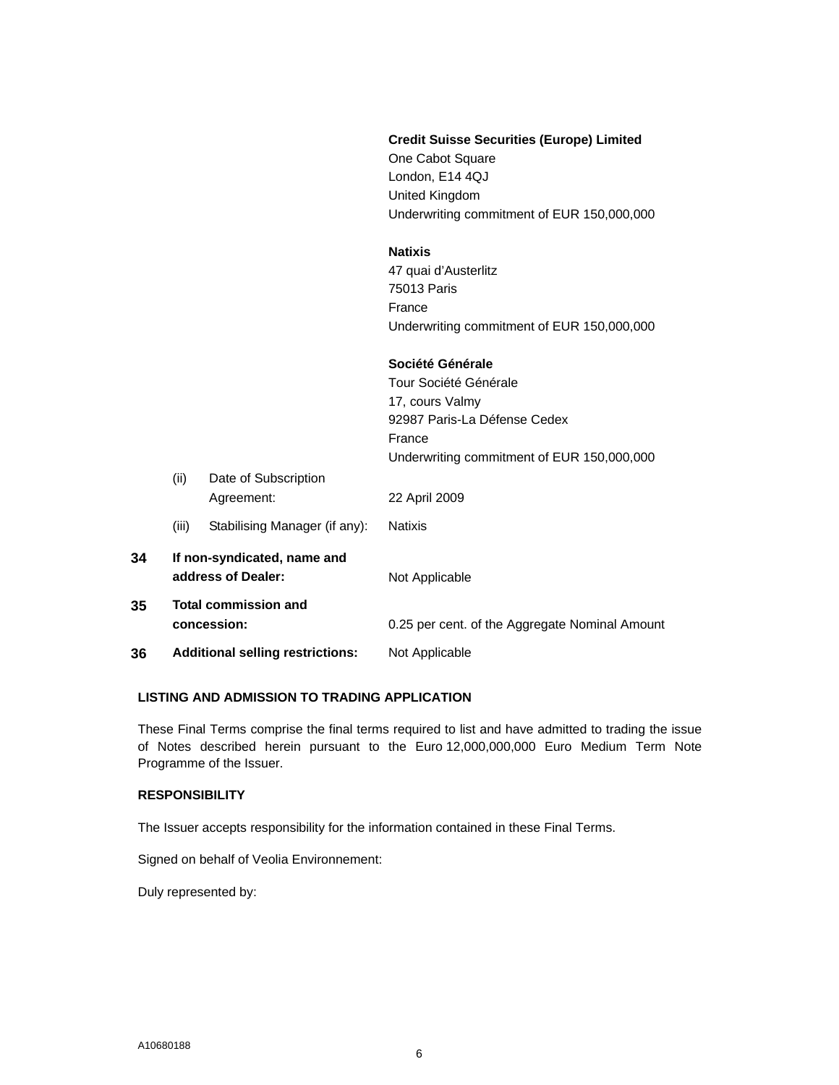|    |       |                                                   | <b>Credit Suisse Securities (Europe) Limited</b><br>One Cabot Square<br>London, E14 4QJ<br>United Kingdom<br>Underwriting commitment of EUR 150,000,000 |
|----|-------|---------------------------------------------------|---------------------------------------------------------------------------------------------------------------------------------------------------------|
|    |       |                                                   | <b>Natixis</b><br>47 quai d'Austerlitz<br>75013 Paris<br>France<br>Underwriting commitment of EUR 150,000,000                                           |
|    |       |                                                   | Société Générale<br>Tour Société Générale<br>17, cours Valmy<br>92987 Paris-La Défense Cedex<br>France<br>Underwriting commitment of EUR 150,000,000    |
|    | (ii)  | Date of Subscription<br>Agreement:                | 22 April 2009                                                                                                                                           |
|    | (iii) | Stabilising Manager (if any):                     | <b>Natixis</b>                                                                                                                                          |
| 34 |       | If non-syndicated, name and<br>address of Dealer: | Not Applicable                                                                                                                                          |
| 35 |       | <b>Total commission and</b><br>concession:        | 0.25 per cent. of the Aggregate Nominal Amount                                                                                                          |
| 36 |       | <b>Additional selling restrictions:</b>           | Not Applicable                                                                                                                                          |

## **LISTING AND ADMISSION TO TRADING APPLICATION**

These Final Terms comprise the final terms required to list and have admitted to trading the issue of Notes described herein pursuant to the Euro 12,000,000,000 Euro Medium Term Note Programme of the Issuer.

## **RESPONSIBILITY**

The Issuer accepts responsibility for the information contained in these Final Terms.

Signed on behalf of Veolia Environnement:

Duly represented by: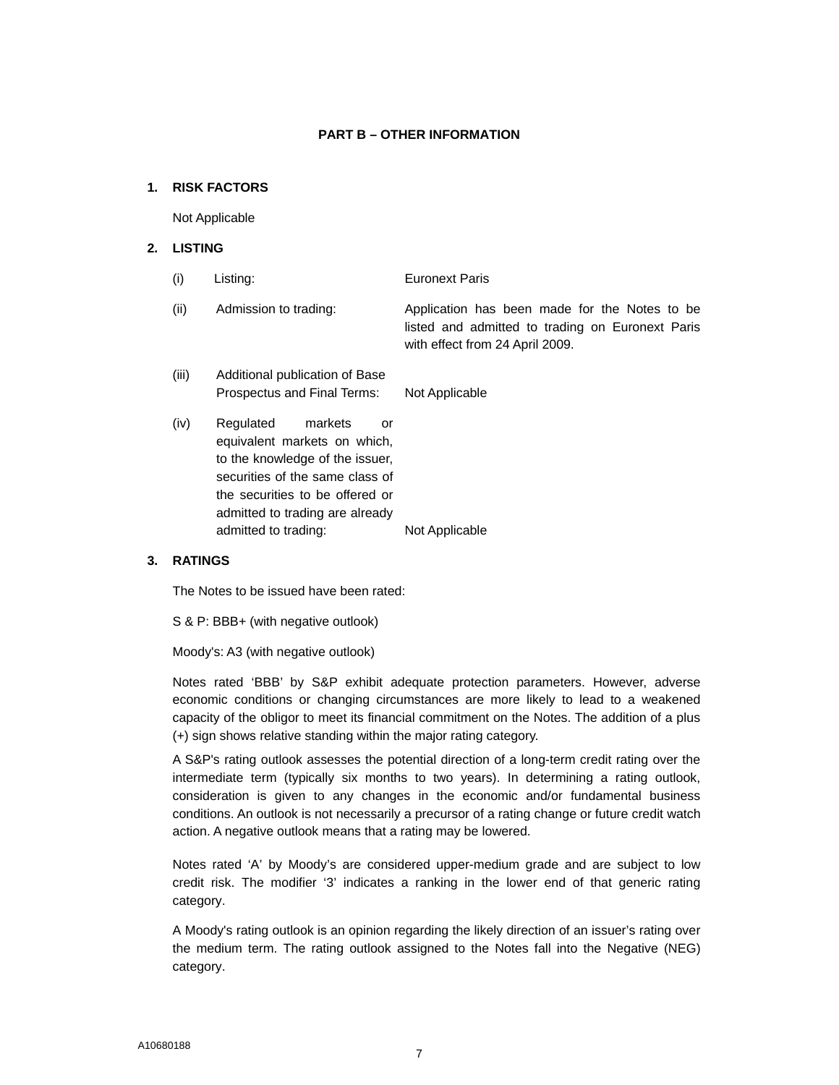#### **PART B – OTHER INFORMATION**

#### **1. RISK FACTORS**

Not Applicable

## **2. LISTING**

| (i)   | Listing:                                                      | <b>Euronext Paris</b>                                                                                                                |
|-------|---------------------------------------------------------------|--------------------------------------------------------------------------------------------------------------------------------------|
| (ii)  | Admission to trading:                                         | Application has been made for the Notes to be<br>listed and admitted to trading on Euronext Paris<br>with effect from 24 April 2009. |
| (iii) | Additional publication of Base<br>Prospectus and Final Terms: | Not Applicable                                                                                                                       |
| (iv)  | Regulated<br>markets<br>or<br>equivalent markets on which.    |                                                                                                                                      |

equivalent markets on which, to the knowledge of the issuer, securities of the same class of the securities to be offered or admitted to trading are already admitted to trading: Not Applicable

#### **3. RATINGS**

The Notes to be issued have been rated:

S & P: BBB+ (with negative outlook)

Moody's: A3 (with negative outlook)

Notes rated 'BBB' by S&P exhibit adequate protection parameters. However, adverse economic conditions or changing circumstances are more likely to lead to a weakened capacity of the obligor to meet its financial commitment on the Notes. The addition of a plus (+) sign shows relative standing within the major rating category.

A S&P's rating outlook assesses the potential direction of a long-term credit rating over the intermediate term (typically six months to two years). In determining a rating outlook, consideration is given to any changes in the economic and/or fundamental business conditions. An outlook is not necessarily a precursor of a rating change or future credit watch action. A negative outlook means that a rating may be lowered.

Notes rated 'A' by Moody's are considered upper-medium grade and are subject to low credit risk. The modifier '3' indicates a ranking in the lower end of that generic rating category.

A Moody's rating outlook is an opinion regarding the likely direction of an issuer's rating over the medium term. The rating outlook assigned to the Notes fall into the Negative (NEG) category.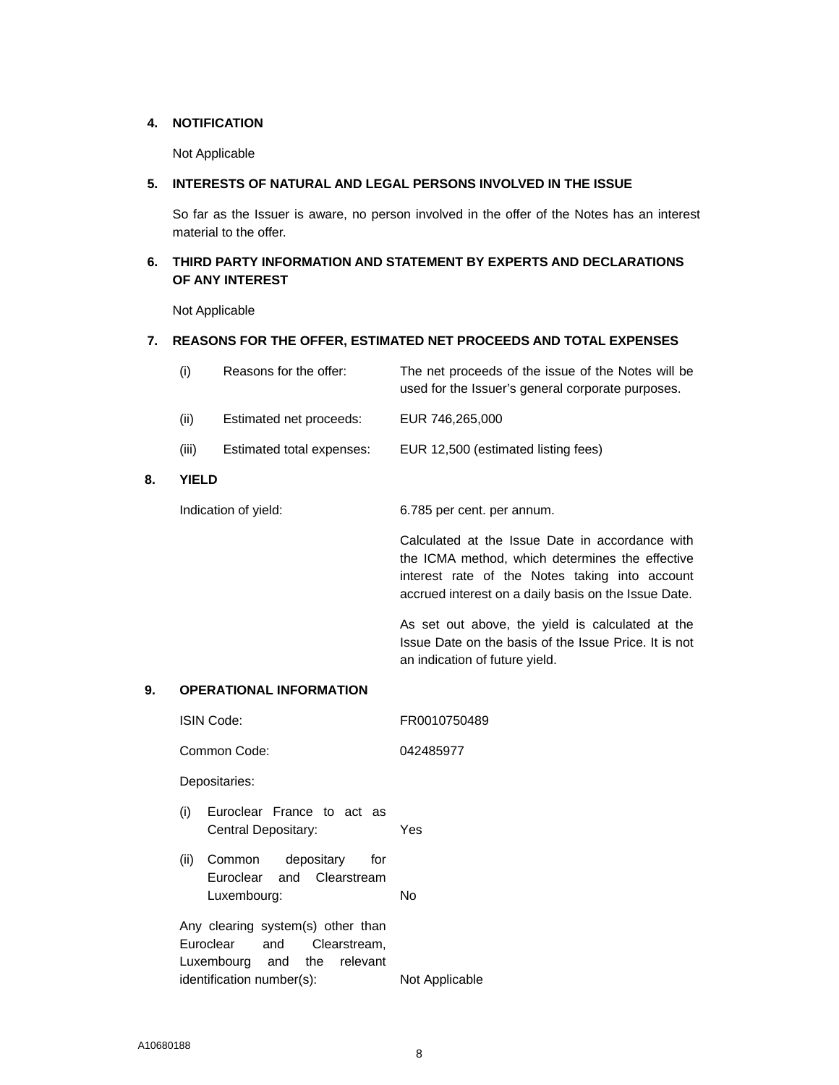#### **4. NOTIFICATION**

Not Applicable

### **5. INTERESTS OF NATURAL AND LEGAL PERSONS INVOLVED IN THE ISSUE**

 So far as the Issuer is aware, no person involved in the offer of the Notes has an interest material to the offer.

## **6. THIRD PARTY INFORMATION AND STATEMENT BY EXPERTS AND DECLARATIONS OF ANY INTEREST**

Not Applicable

#### **7. REASONS FOR THE OFFER, ESTIMATED NET PROCEEDS AND TOTAL EXPENSES**

|    | (i)   | Reasons for the offer:    | The net proceeds of the issue of the Notes will be<br>used for the Issuer's general corporate purposes. |
|----|-------|---------------------------|---------------------------------------------------------------------------------------------------------|
|    | (ii)  | Estimated net proceeds:   | EUR 746,265,000                                                                                         |
|    | (iii) | Estimated total expenses: | EUR 12,500 (estimated listing fees)                                                                     |
| 8. | YIFLD |                           |                                                                                                         |

**8.** 

Indication of yield: 6.785 per cent. per annum.

Calculated at the Issue Date in accordance with the ICMA method, which determines the effective interest rate of the Notes taking into account accrued interest on a daily basis on the Issue Date.

As set out above, the yield is calculated at the Issue Date on the basis of the Issue Price. It is not an indication of future yield.

## **9. OPERATIONAL INFORMATION**

| ISIN Code:                 |                                                                                      | FR0010750489   |
|----------------------------|--------------------------------------------------------------------------------------|----------------|
| Common Code:               |                                                                                      | 042485977      |
| Depositaries:              |                                                                                      |                |
| (i)<br>Central Depositary: | Euroclear France to act as                                                           | Yes            |
| (ii)<br>Luxembourg:        | Common depositary<br>for<br>Euroclear and Clearstream                                | No             |
| Euroclear                  | Any clearing system(s) other than<br>and Clearstream,<br>Luxembourg and the relevant |                |
| identification number(s):  |                                                                                      | Not Applicable |